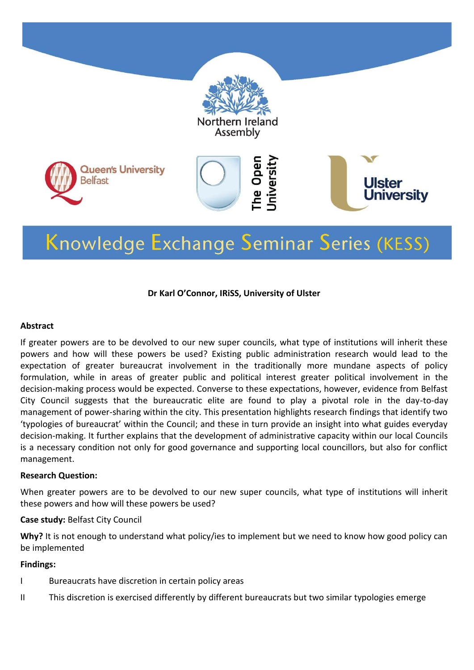

# Knowledge Exchange Seminar Series (KESS)

#### **Dr Karl O'Connor, IRiSS, University of Ulster**

#### **Abstract**

If greater powers are to be devolved to our new super councils, what type of institutions will inherit these powers and how will these powers be used? Existing public administration research would lead to the expectation of greater bureaucrat involvement in the traditionally more mundane aspects of policy formulation, while in areas of greater public and political interest greater political involvement in the decision-making process would be expected. Converse to these expectations, however, evidence from Belfast City Council suggests that the bureaucratic elite are found to play a pivotal role in the day-to-day management of power-sharing within the city. This presentation highlights research findings that identify two 'typologies of bureaucrat' within the Council; and these in turn provide an insight into what guides everyday decision-making. It further explains that the development of administrative capacity within our local Councils is a necessary condition not only for good governance and supporting local councillors, but also for conflict management.

#### **Research Question:**

When greater powers are to be devolved to our new super councils, what type of institutions will inherit these powers and how will these powers be used?

#### **Case study:** Belfast City Council

Why? It is not enough to understand what policy/ies to implement but we need to know how good policy can be implemented

#### **Findings:**

- I Bureaucrats have discretion in certain policy areas
- II This discretion is exercised differently by different bureaucrats but two similar typologies emerge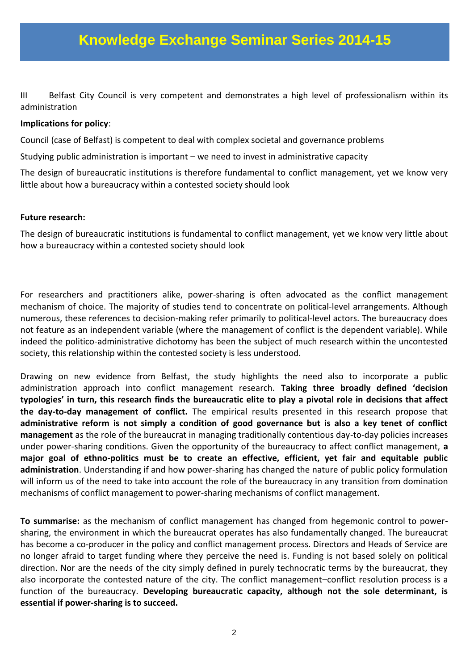III Belfast City Council is very competent and demonstrates a high level of professionalism within its administration

#### **Implications for policy**:

Council (case of Belfast) is competent to deal with complex societal and governance problems

Studying public administration is important – we need to invest in administrative capacity

The design of bureaucratic institutions is therefore fundamental to conflict management, yet we know very little about how a bureaucracy within a contested society should look

#### **Future research:**

The design of bureaucratic institutions is fundamental to conflict management, yet we know very little about how a bureaucracy within a contested society should look

For researchers and practitioners alike, power-sharing is often advocated as the conflict management mechanism of choice. The majority of studies tend to concentrate on political-level arrangements. Although numerous, these references to decision-making refer primarily to political-level actors. The bureaucracy does not feature as an independent variable (where the management of conflict is the dependent variable). While indeed the politico-administrative dichotomy has been the subject of much research within the uncontested society, this relationship within the contested society is less understood.

Drawing on new evidence from Belfast, the study highlights the need also to incorporate a public administration approach into conflict management research. **Taking three broadly defined 'decision typologies' in turn, this research finds the bureaucratic elite to play a pivotal role in decisions that affect the day-to-day management of conflict.** The empirical results presented in this research propose that **administrative reform is not simply a condition of good governance but is also a key tenet of conflict management** as the role of the bureaucrat in managing traditionally contentious day-to-day policies increases under power-sharing conditions. Given the opportunity of the bureaucracy to affect conflict management, **a major goal of ethno-politics must be to create an effective, efficient, yet fair and equitable public administration**. Understanding if and how power-sharing has changed the nature of public policy formulation will inform us of the need to take into account the role of the bureaucracy in any transition from domination mechanisms of conflict management to power-sharing mechanisms of conflict management.

**To summarise:** as the mechanism of conflict management has changed from hegemonic control to powersharing, the environment in which the bureaucrat operates has also fundamentally changed. The bureaucrat has become a co-producer in the policy and conflict management process. Directors and Heads of Service are no longer afraid to target funding where they perceive the need is. Funding is not based solely on political direction. Nor are the needs of the city simply defined in purely technocratic terms by the bureaucrat, they also incorporate the contested nature of the city. The conflict management–conflict resolution process is a function of the bureaucracy. **Developing bureaucratic capacity, although not the sole determinant, is essential if power-sharing is to succeed.**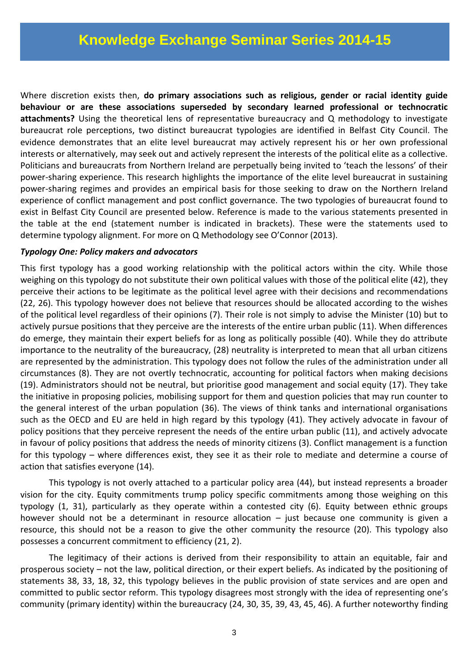Where discretion exists then, **do primary associations such as religious, gender or racial identity guide behaviour or are these associations superseded by secondary learned professional or technocratic attachments?** Using the theoretical lens of representative bureaucracy and Q methodology to investigate bureaucrat role perceptions, two distinct bureaucrat typologies are identified in Belfast City Council. The evidence demonstrates that an elite level bureaucrat may actively represent his or her own professional interests or alternatively, may seek out and actively represent the interests of the political elite as a collective. Politicians and bureaucrats from Northern Ireland are perpetually being invited to 'teach the lessons' of their power-sharing experience. This research highlights the importance of the elite level bureaucrat in sustaining power-sharing regimes and provides an empirical basis for those seeking to draw on the Northern Ireland experience of conflict management and post conflict governance. The two typologies of bureaucrat found to exist in Belfast City Council are presented below. Reference is made to the various statements presented in the table at the end (statement number is indicated in brackets). These were the statements used to determine typology alignment. For more on Q Methodology see O'Connor (2013).

#### *Typology One: Policy makers and advocators*

This first typology has a good working relationship with the political actors within the city. While those weighing on this typology do not substitute their own political values with those of the political elite (42), they perceive their actions to be legitimate as the political level agree with their decisions and recommendations (22, 26). This typology however does not believe that resources should be allocated according to the wishes of the political level regardless of their opinions (7). Their role is not simply to advise the Minister (10) but to actively pursue positions that they perceive are the interests of the entire urban public (11). When differences do emerge, they maintain their expert beliefs for as long as politically possible (40). While they do attribute importance to the neutrality of the bureaucracy, (28) neutrality is interpreted to mean that all urban citizens are represented by the administration. This typology does not follow the rules of the administration under all circumstances (8). They are not overtly technocratic, accounting for political factors when making decisions (19). Administrators should not be neutral, but prioritise good management and social equity (17). They take the initiative in proposing policies, mobilising support for them and question policies that may run counter to the general interest of the urban population (36). The views of think tanks and international organisations such as the OECD and EU are held in high regard by this typology (41). They actively advocate in favour of policy positions that they perceive represent the needs of the entire urban public (11), and actively advocate in favour of policy positions that address the needs of minority citizens (3). Conflict management is a function for this typology – where differences exist, they see it as their role to mediate and determine a course of action that satisfies everyone (14).

This typology is not overly attached to a particular policy area (44), but instead represents a broader vision for the city. Equity commitments trump policy specific commitments among those weighing on this typology (1, 31), particularly as they operate within a contested city (6). Equity between ethnic groups however should not be a determinant in resource allocation - just because one community is given a resource, this should not be a reason to give the other community the resource (20). This typology also possesses a concurrent commitment to efficiency (21, 2).

The legitimacy of their actions is derived from their responsibility to attain an equitable, fair and prosperous society – not the law, political direction, or their expert beliefs. As indicated by the positioning of statements 38, 33, 18, 32, this typology believes in the public provision of state services and are open and committed to public sector reform. This typology disagrees most strongly with the idea of representing one's community (primary identity) within the bureaucracy (24, 30, 35, 39, 43, 45, 46). A further noteworthy finding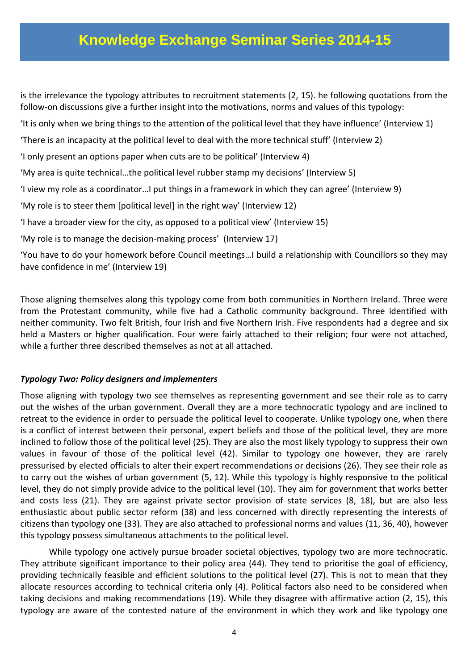is the irrelevance the typology attributes to recruitment statements (2, 15). he following quotations from the follow-on discussions give a further insight into the motivations, norms and values of this typology:

'It is only when we bring things to the attention of the political level that they have influence' (Interview 1)

'There is an incapacity at the political level to deal with the more technical stuff' (Interview 2)

'I only present an options paper when cuts are to be political' (Interview 4)

'My area is quite technical…the political level rubber stamp my decisions' (Interview 5)

'I view my role as a coordinator…I put things in a framework in which they can agree' (Interview 9)

'My role is to steer them [political level] in the right way' (Interview 12)

'I have a broader view for the city, as opposed to a political view' (Interview 15)

'My role is to manage the decision-making process' (Interview 17)

'You have to do your homework before Council meetings…I build a relationship with Councillors so they may have confidence in me' (Interview 19)

Those aligning themselves along this typology come from both communities in Northern Ireland. Three were from the Protestant community, while five had a Catholic community background. Three identified with neither community. Two felt British, four Irish and five Northern Irish. Five respondents had a degree and six held a Masters or higher qualification. Four were fairly attached to their religion; four were not attached, while a further three described themselves as not at all attached.

#### *Typology Two: Policy designers and implementers*

Those aligning with typology two see themselves as representing government and see their role as to carry out the wishes of the urban government. Overall they are a more technocratic typology and are inclined to retreat to the evidence in order to persuade the political level to cooperate. Unlike typology one, when there is a conflict of interest between their personal, expert beliefs and those of the political level, they are more inclined to follow those of the political level (25). They are also the most likely typology to suppress their own values in favour of those of the political level (42). Similar to typology one however, they are rarely pressurised by elected officials to alter their expert recommendations or decisions (26). They see their role as to carry out the wishes of urban government (5, 12). While this typology is highly responsive to the political level, they do not simply provide advice to the political level (10). They aim for government that works better and costs less (21). They are against private sector provision of state services (8, 18), but are also less enthusiastic about public sector reform (38) and less concerned with directly representing the interests of citizens than typology one (33). They are also attached to professional norms and values (11, 36, 40), however this typology possess simultaneous attachments to the political level.

While typology one actively pursue broader societal objectives, typology two are more technocratic. They attribute significant importance to their policy area (44). They tend to prioritise the goal of efficiency, providing technically feasible and efficient solutions to the political level (27). This is not to mean that they allocate resources according to technical criteria only (4). Political factors also need to be considered when taking decisions and making recommendations (19). While they disagree with affirmative action (2, 15), this typology are aware of the contested nature of the environment in which they work and like typology one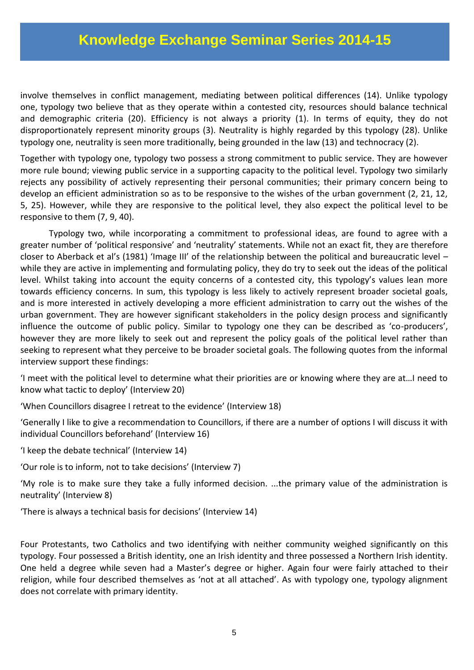involve themselves in conflict management, mediating between political differences (14). Unlike typology one, typology two believe that as they operate within a contested city, resources should balance technical and demographic criteria (20). Efficiency is not always a priority (1). In terms of equity, they do not disproportionately represent minority groups (3). Neutrality is highly regarded by this typology (28). Unlike typology one, neutrality is seen more traditionally, being grounded in the law (13) and technocracy (2).

Together with typology one, typology two possess a strong commitment to public service. They are however more rule bound; viewing public service in a supporting capacity to the political level. Typology two similarly rejects any possibility of actively representing their personal communities; their primary concern being to develop an efficient administration so as to be responsive to the wishes of the urban government (2, 21, 12, 5, 25). However, while they are responsive to the political level, they also expect the political level to be responsive to them (7, 9, 40).

Typology two, while incorporating a commitment to professional ideas, are found to agree with a greater number of 'political responsive' and 'neutrality' statements. While not an exact fit, they are therefore closer to Aberback et al's (1981) 'Image III' of the relationship between the political and bureaucratic level – while they are active in implementing and formulating policy, they do try to seek out the ideas of the political level. Whilst taking into account the equity concerns of a contested city, this typology's values lean more towards efficiency concerns. In sum, this typology is less likely to actively represent broader societal goals, and is more interested in actively developing a more efficient administration to carry out the wishes of the urban government. They are however significant stakeholders in the policy design process and significantly influence the outcome of public policy. Similar to typology one they can be described as 'co-producers', however they are more likely to seek out and represent the policy goals of the political level rather than seeking to represent what they perceive to be broader societal goals. The following quotes from the informal interview support these findings:

'I meet with the political level to determine what their priorities are or knowing where they are at…I need to know what tactic to deploy' (Interview 20)

'When Councillors disagree I retreat to the evidence' (Interview 18)

'Generally I like to give a recommendation to Councillors, if there are a number of options I will discuss it with individual Councillors beforehand' (Interview 16)

'I keep the debate technical' (Interview 14)

'Our role is to inform, not to take decisions' (Interview 7)

'My role is to make sure they take a fully informed decision. ...the primary value of the administration is neutrality' (Interview 8)

'There is always a technical basis for decisions' (Interview 14)

Four Protestants, two Catholics and two identifying with neither community weighed significantly on this typology. Four possessed a British identity, one an Irish identity and three possessed a Northern Irish identity. One held a degree while seven had a Master's degree or higher. Again four were fairly attached to their religion, while four described themselves as 'not at all attached'. As with typology one, typology alignment does not correlate with primary identity.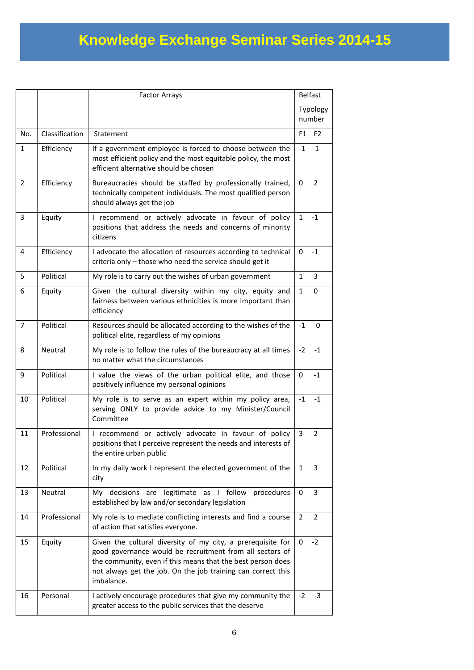|                |                | <b>Factor Arrays</b>                                                                                                                                                                                                                                                 | <b>Belfast</b>     |                |
|----------------|----------------|----------------------------------------------------------------------------------------------------------------------------------------------------------------------------------------------------------------------------------------------------------------------|--------------------|----------------|
|                |                |                                                                                                                                                                                                                                                                      | Typology<br>number |                |
| No.            | Classification | Statement                                                                                                                                                                                                                                                            | F1                 | F <sub>2</sub> |
| $\mathbf{1}$   | Efficiency     | If a government employee is forced to choose between the<br>most efficient policy and the most equitable policy, the most<br>efficient alternative should be chosen                                                                                                  | $-1$               | $-1$           |
| $\overline{2}$ | Efficiency     | Bureaucracies should be staffed by professionally trained,<br>technically competent individuals. The most qualified person<br>should always get the job                                                                                                              | 0                  | $\overline{2}$ |
| 3              | Equity         | I recommend or actively advocate in favour of policy<br>positions that address the needs and concerns of minority<br>citizens                                                                                                                                        | $\mathbf{1}$       | $-1$           |
| $\overline{4}$ | Efficiency     | I advocate the allocation of resources according to technical<br>criteria only - those who need the service should get it                                                                                                                                            | 0                  | $-1$           |
| 5              | Political      | My role is to carry out the wishes of urban government                                                                                                                                                                                                               | $\mathbf{1}$       | $\overline{3}$ |
| 6              | Equity         | Given the cultural diversity within my city, equity and<br>fairness between various ethnicities is more important than<br>efficiency                                                                                                                                 | $\mathbf{1}$       | 0              |
| 7              | Political      | Resources should be allocated according to the wishes of the<br>political elite, regardless of my opinions                                                                                                                                                           | $-1$               | 0              |
| 8              | Neutral        | My role is to follow the rules of the bureaucracy at all times<br>no matter what the circumstances                                                                                                                                                                   | $-2$               | $-1$           |
| 9              | Political      | I value the views of the urban political elite, and those<br>positively influence my personal opinions                                                                                                                                                               | 0                  | $-1$           |
| 10             | Political      | My role is to serve as an expert within my policy area,<br>serving ONLY to provide advice to my Minister/Council<br>Committee                                                                                                                                        | $-1$               | $-1$           |
| 11             | Professional   | I recommend or actively advocate in favour of policy<br>positions that I perceive represent the needs and interests of<br>the entire urban public                                                                                                                    | 3                  | $\overline{2}$ |
| 12             | Political      | In my daily work I represent the elected government of the<br>city                                                                                                                                                                                                   | 1                  | 3              |
| 13             | Neutral        | My decisions are legitimate as I follow<br>procedures<br>established by law and/or secondary legislation                                                                                                                                                             | 0                  | 3              |
| 14             | Professional   | My role is to mediate conflicting interests and find a course<br>of action that satisfies everyone.                                                                                                                                                                  | 2                  | 2              |
| 15             | Equity         | Given the cultural diversity of my city, a prerequisite for<br>good governance would be recruitment from all sectors of<br>the community, even if this means that the best person does<br>not always get the job. On the job training can correct this<br>imbalance. | 0                  | $-2$           |
| 16             | Personal       | I actively encourage procedures that give my community the<br>greater access to the public services that the deserve                                                                                                                                                 | $-2$               | $-3$           |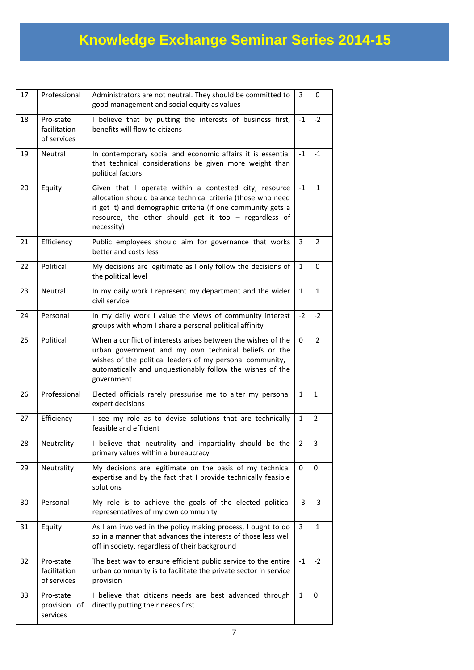| 17 | Professional                             | Administrators are not neutral. They should be committed to<br>good management and social equity as values                                                                                                                                                      | 3            | 0              |
|----|------------------------------------------|-----------------------------------------------------------------------------------------------------------------------------------------------------------------------------------------------------------------------------------------------------------------|--------------|----------------|
| 18 | Pro-state<br>facilitation<br>of services | I believe that by putting the interests of business first,<br>benefits will flow to citizens                                                                                                                                                                    | $-1$         | $-2$           |
| 19 | Neutral                                  | In contemporary social and economic affairs it is essential<br>that technical considerations be given more weight than<br>political factors                                                                                                                     | $-1$         | $-1$           |
| 20 | Equity                                   | Given that I operate within a contested city, resource<br>allocation should balance technical criteria (those who need<br>it get it) and demographic criteria (if one community gets a<br>resource, the other should get it too $-$ regardless of<br>necessity) | $-1$         | $\mathbf{1}$   |
| 21 | Efficiency                               | Public employees should aim for governance that works<br>better and costs less                                                                                                                                                                                  | 3            | 2              |
| 22 | Political                                | My decisions are legitimate as I only follow the decisions of<br>the political level                                                                                                                                                                            | $\mathbf{1}$ | 0              |
| 23 | Neutral                                  | In my daily work I represent my department and the wider<br>civil service                                                                                                                                                                                       | 1            | 1              |
| 24 | Personal                                 | In my daily work I value the views of community interest<br>groups with whom I share a personal political affinity                                                                                                                                              | $-2$         | $-2$           |
| 25 | Political                                | When a conflict of interests arises between the wishes of the<br>urban government and my own technical beliefs or the<br>wishes of the political leaders of my personal community, I<br>automatically and unquestionably follow the wishes of the<br>government | 0            | $\overline{2}$ |
| 26 | Professional                             | Elected officials rarely pressurise me to alter my personal<br>expert decisions                                                                                                                                                                                 | 1            | $\mathbf{1}$   |
| 27 | Efficiency                               | I see my role as to devise solutions that are technically<br>feasible and efficient                                                                                                                                                                             | $\mathbf{1}$ | $\overline{2}$ |
| 28 | Neutrality                               | believe that neutrality and impartiality should be the<br>L<br>primary values within a bureaucracy                                                                                                                                                              | 2            | 3              |
| 29 | Neutrality                               | My decisions are legitimate on the basis of my technical<br>expertise and by the fact that I provide technically feasible<br>solutions                                                                                                                          | 0            | 0              |
| 30 | Personal                                 | My role is to achieve the goals of the elected political<br>representatives of my own community                                                                                                                                                                 | $-3$         | -3             |
| 31 | Equity                                   | As I am involved in the policy making process, I ought to do<br>so in a manner that advances the interests of those less well<br>off in society, regardless of their background                                                                                 | 3            | $\mathbf{1}$   |
| 32 | Pro-state<br>facilitation<br>of services | The best way to ensure efficient public service to the entire<br>urban community is to facilitate the private sector in service<br>provision                                                                                                                    | $-1$         | $-2$           |
| 33 | Pro-state<br>provision of<br>services    | I believe that citizens needs are best advanced through<br>directly putting their needs first                                                                                                                                                                   | 1            | 0              |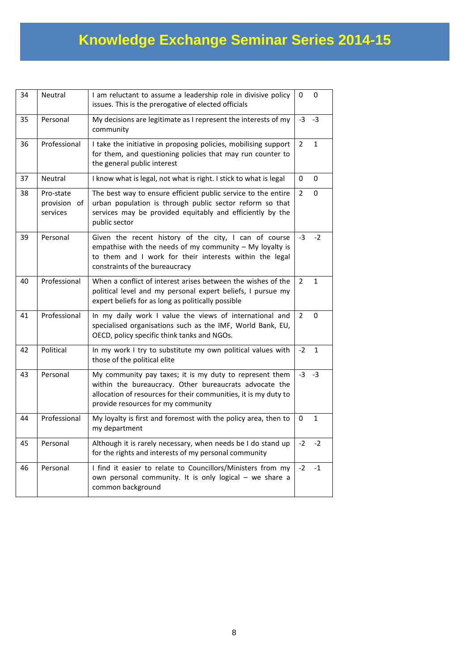| 34 | Neutral                               | I am reluctant to assume a leadership role in divisive policy<br>issues. This is the prerogative of elected officials                                                                                                      | 0              | 0            |
|----|---------------------------------------|----------------------------------------------------------------------------------------------------------------------------------------------------------------------------------------------------------------------------|----------------|--------------|
| 35 | Personal                              | My decisions are legitimate as I represent the interests of my<br>community                                                                                                                                                | -3             | -3           |
| 36 | Professional                          | I take the initiative in proposing policies, mobilising support<br>for them, and questioning policies that may run counter to<br>the general public interest                                                               | $\overline{2}$ | $\mathbf{1}$ |
| 37 | Neutral                               | I know what is legal, not what is right. I stick to what is legal                                                                                                                                                          | 0              | 0            |
| 38 | Pro-state<br>provision of<br>services | The best way to ensure efficient public service to the entire<br>urban population is through public sector reform so that<br>services may be provided equitably and efficiently by the<br>public sector                    | $\overline{2}$ | 0            |
| 39 | Personal                              | Given the recent history of the city, I can of course<br>empathise with the needs of my community $-$ My loyalty is<br>to them and I work for their interests within the legal<br>constraints of the bureaucracy           | $-3$           | $-2$         |
| 40 | Professional                          | When a conflict of interest arises between the wishes of the<br>political level and my personal expert beliefs, I pursue my<br>expert beliefs for as long as politically possible                                          | $\overline{2}$ | 1            |
| 41 | Professional                          | In my daily work I value the views of international and<br>specialised organisations such as the IMF, World Bank, EU,<br>OECD, policy specific think tanks and NGOs.                                                       | $\overline{2}$ | 0            |
| 42 | Political                             | In my work I try to substitute my own political values with<br>those of the political elite                                                                                                                                | $-2$           | $\mathbf{1}$ |
| 43 | Personal                              | My community pay taxes; it is my duty to represent them<br>within the bureaucracy. Other bureaucrats advocate the<br>allocation of resources for their communities, it is my duty to<br>provide resources for my community | $-3$           | $-3$         |
| 44 | Professional                          | My loyalty is first and foremost with the policy area, then to<br>my department                                                                                                                                            | 0              | $\mathbf{1}$ |
| 45 | Personal                              | Although it is rarely necessary, when needs be I do stand up<br>for the rights and interests of my personal community                                                                                                      | $-2$           | $-2$         |
| 46 | Personal                              | I find it easier to relate to Councillors/Ministers from my<br>own personal community. It is only logical - we share a<br>common background                                                                                | $-2$           | $-1$         |